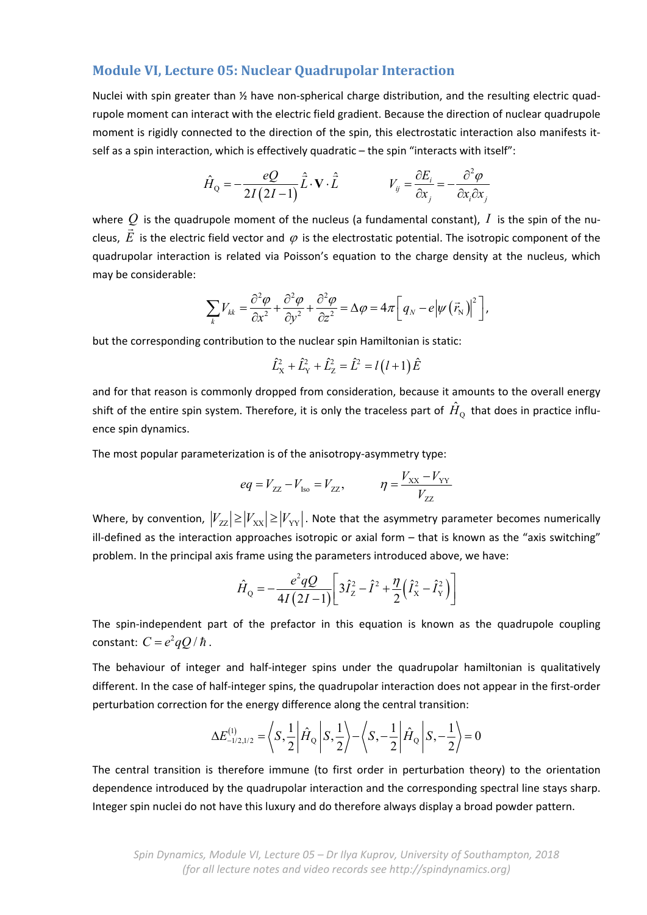# **Module VI, Lecture 05: Nuclear Quadrupolar Interaction**

Nuclei with spin greater than ½ have non-spherical charge distribution, and the resulting electric quadrupole moment can interact with the electric field gradient. Because the direction of nuclear quadrupole moment is rigidly connected to the direction of the spin, this electrostatic interaction also manifests it‐ self as a spin interaction, which is effectively quadratic – the spin "interacts with itself":

$$
\hat{H}_{Q} = -\frac{eQ}{2I(2I-1)}\hat{\vec{L}}\cdot\mathbf{V}\cdot\hat{\vec{L}} \qquad V_{ij} = \frac{\partial E_{i}}{\partial x_{j}} = -\frac{\partial^{2}\varphi}{\partial x_{i}\partial x_{j}}
$$

where  $Q$  is the quadrupole moment of the nucleus (a fundamental constant),  $I$  is the spin of the nuwhere  $\overline{z}$  is the quadrupole moment of the nucleus (a fundamental constant), T is the spirit of the flu-<br>cleus,  $\vec{E}$  is the electric field vector and  $\varphi$  is the electrostatic potential. The isotropic component of quadrupolar interaction is related via Poisson's equation to the charge density at the nucleus, which may be considerable:

$$
\sum_{k} V_{kk} = \frac{\partial^2 \varphi}{\partial x^2} + \frac{\partial^2 \varphi}{\partial y^2} + \frac{\partial^2 \varphi}{\partial z^2} = \Delta \varphi = 4\pi \bigg[ q_N - e \big| \psi \left( \vec{r}_N \right) \big|^2 \bigg],
$$

but the corresponding contribution to the nuclear spin Hamiltonian is static:

$$
\hat{L}_{X}^{2} + \hat{L}_{Y}^{2} + \hat{L}_{Z}^{2} = \hat{L}^{2} = l(l+1)\hat{E}
$$

and for that reason is commonly dropped from consideration, because it amounts to the overall energy shift of the entire spin system. Therefore, it is only the traceless part of  $\hat{H}_{\rm o}\,$  that does in practice influence spin dynamics.

The most popular parameterization is of the anisotropy‐asymmetry type:

$$
eq = V_{ZZ} - V_{Iso} = V_{ZZ}, \qquad \eta = \frac{V_{XX} - V_{YY}}{V_{ZZ}}
$$

Where, by convention,  $|V_{zz}| \ge |V_{xx}| \ge |V_{yy}|$ . Note that the asymmetry parameter becomes numerically ill-defined as the interaction approaches isotropic or axial form  $-$  that is known as the "axis switching" problem. In the principal axis frame using the parameters introduced above, we have:

$$
\hat{H}_{\rm Q} = -\frac{e^2 q Q}{4I(2I-1)} \left[ 3\hat{I}_{\rm Z}^2 - \hat{I}^2 + \frac{\eta}{2} \left( \hat{I}_{\rm X}^2 - \hat{I}_{\rm Y}^2 \right) \right]
$$

The spin-independent part of the prefactor in this equation is known as the quadrupole coupling constant:  $C = e^2 qQ / \hbar$ .

The behaviour of integer and half‐integer spins under the quadrupolar hamiltonian is qualitatively different. In the case of half‐integer spins, the quadrupolar interaction does not appear in the first‐order perturbation correction for the energy difference along the central transition:

$$
\Delta E_{-1/2,1/2}^{(1)} = \left\langle S, \frac{1}{2} \middle| \hat{H}_{Q} \middle| S, \frac{1}{2} \right\rangle - \left\langle S, -\frac{1}{2} \middle| \hat{H}_{Q} \middle| S, -\frac{1}{2} \right\rangle = 0
$$

The central transition is therefore immune (to first order in perturbation theory) to the orientation dependence introduced by the quadrupolar interaction and the corresponding spectral line stays sharp. Integer spin nuclei do not have this luxury and do therefore always display a broad powder pattern.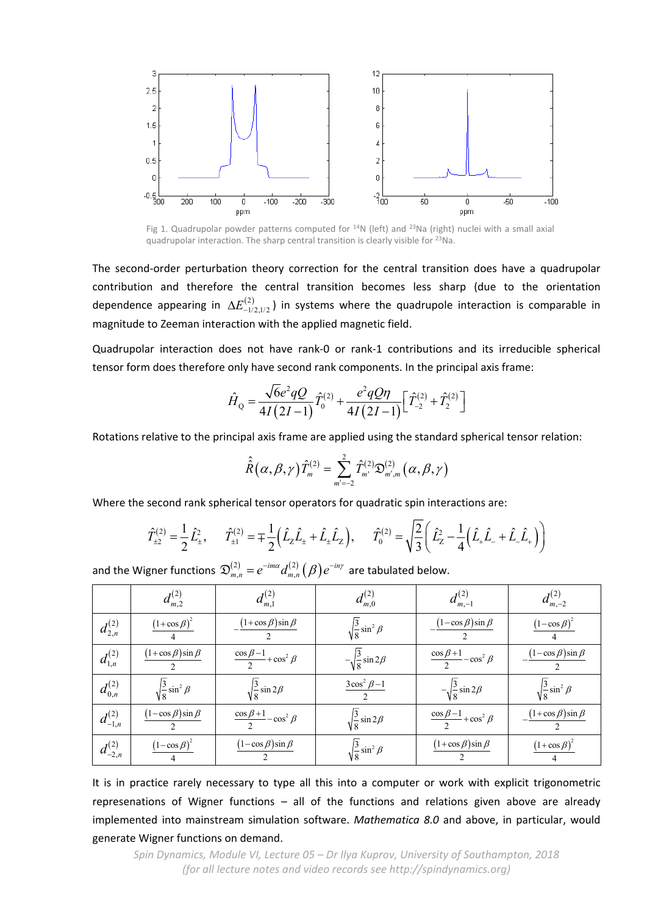

Fig 1. Quadrupolar powder patterns computed for  $^{14}N$  (left) and  $^{23}Na$  (right) nuclei with a small axial quadrupolar interaction. The sharp central transition is clearly visible for 23Na.

The second-order perturbation theory correction for the central transition does have a quadrupolar contribution and therefore the central transition becomes less sharp (due to the orientation dependence appearing in  $\Delta E^{(2)}_{-1/2,1/2}$ ) in systems where the quadrupole interaction is comparable in magnitude to Zeeman interaction with the applied magnetic field.

Quadrupolar interaction does not have rank‐0 or rank‐1 contributions and its irreducible spherical tensor form does therefore only have second rank components. In the principal axis frame:

$$
\hat{H}_{\text{Q}} = \frac{\sqrt{6}e^2qQ}{4I(2I-1)}\hat{T}^{(2)}_0 + \frac{e^2qQ\eta}{4I(2I-1)}\Big[\hat{T}^{(2)}_{-2} + \hat{T}^{(2)}_{2}\Big]
$$

Rotations relative to the principal axis frame are applied using the standard spherical tensor relation:

$$
\hat{\hat{R}}(\alpha,\beta,\gamma)\hat{T}_{m}^{(2)}=\sum_{m=-2}^{2}\hat{T}_{m}^{(2)}\mathfrak{D}_{m^{\prime},m}^{(2)}(\alpha,\beta,\gamma)
$$

Where the second rank spherical tensor operators for quadratic spin interactions are:

$$
\hat{T}_{\pm 2}^{(2)} = \frac{1}{2} \hat{L}_{\pm}^2, \qquad \hat{T}_{\pm 1}^{(2)} = \pm \frac{1}{2} \Big( \hat{L}_Z \hat{L}_{\pm} + \hat{L}_{\pm} \hat{L}_Z \Big), \qquad \hat{T}_0^{(2)} = \sqrt{\frac{2}{3}} \Big( \hat{L}_Z^2 - \frac{1}{4} \Big( \hat{L}_+ \hat{L}_- + \hat{L}_- \hat{L}_+ \Big) \Big)
$$

and the Wigner functions  $\mathfrak{D}^{(2)}_{m,n}=e^{-im\alpha}d^{(2)}_{m,n}\big(\beta\big)$  $\mathfrak{D}^{(2)}_{\scriptscriptstyle{m,n}}=e^{-im\alpha}d_{\scriptscriptstyle{m,n}}^{(2)}\big(\beta\big)e^{-in\gamma}$  are tabulated below.

|                  | $d_{m,2}^{(2)}$                 | $d_{m,1}^{(2)}$                           | $d_{m,0}^{(2)}$                  | $d_{m,-1}^{(2)}$                          | $d_{m,-2}^{(2)}$                |
|------------------|---------------------------------|-------------------------------------------|----------------------------------|-------------------------------------------|---------------------------------|
| $d_{2,n}^{(2)}$  | $(1+\cos \beta)^2$              | $(1+\cos \beta)\sin \beta$                | $\sqrt{\frac{3}{8}}\sin^2\beta$  | $\frac{(1-\cos\beta)\sin\beta}{\beta}$    | $(1-\cos \beta)^2$              |
| $d_{1,n}^{(2)}$  | $(1+\cos \beta)\sin \beta$      | $\frac{\cos \beta - 1}{2} + \cos^2 \beta$ | $-\sqrt{\frac{3}{8}}\sin 2\beta$ | $\frac{\cos \beta + 1}{2} - \cos^2 \beta$ | $(1-\cos\beta)\sin\beta$        |
| $d_{0,n}^{(2)}$  | $\sqrt{\frac{3}{8}}\sin^2\beta$ | $\sqrt{\frac{3}{8}}\sin 2\beta$           | $3\cos^2\beta-1$                 | $-\sqrt{\frac{3}{8}}\sin 2\beta$          | $\sqrt{\frac{3}{8}}\sin^2\beta$ |
| $d^{(2)}_{-1,n}$ | $(1-\cos\beta)\sin\beta$        | $\frac{\cos \beta + 1}{2} - \cos^2 \beta$ | $\sqrt{\frac{3}{8}}\sin 2\beta$  | $\frac{\cos \beta - 1}{2} + \cos^2 \beta$ | $(1+\cos\beta)\sin\beta$        |
| $d^{(2)}_{-2,n}$ | $(1-\cos \beta)^2$              | $(1-\cos\beta)\sin\beta$                  | $\sqrt{\frac{3}{8}}\sin^2\beta$  | $(1+\cos\beta)\sin\beta$                  | $(1+\cos \beta)^2$              |

It is in practice rarely necessary to type all this into a computer or work with explicit trigonometric represenations of Wigner functions – all of the functions and relations given above are already implemented into mainstream simulation software. *Mathematica 8.0* and above, in particular, would generate Wigner functions on demand.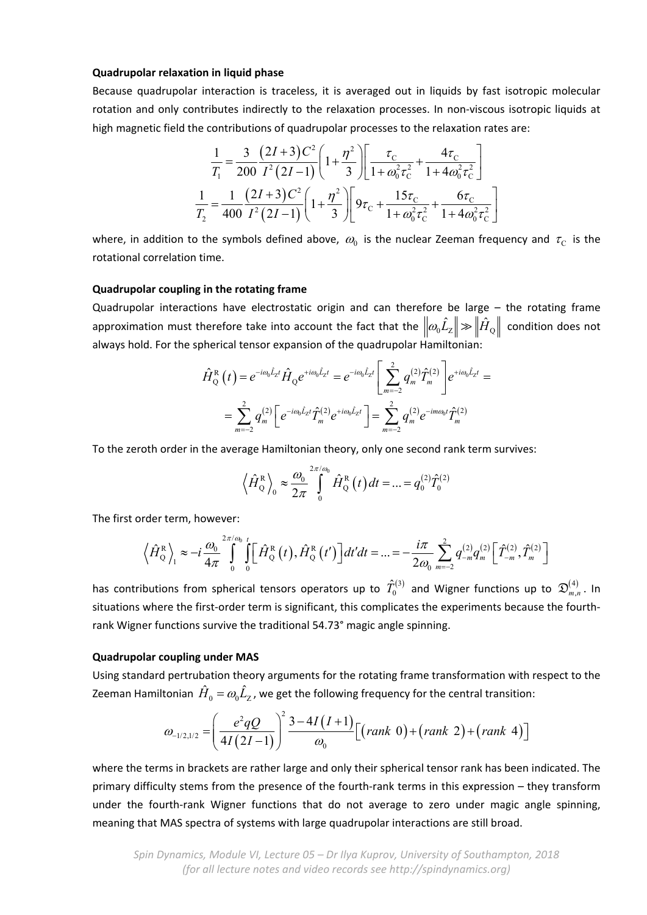## **Quadrupolar relaxation in liquid phase**

Because quadrupolar interaction is traceless, it is averaged out in liquids by fast isotropic molecular rotation and only contributes indirectly to the relaxation processes. In non-viscous isotropic liquids at high magnetic field the contributions of quadrupolar processes to the relaxation rates are:

$$
\frac{1}{T_1} = \frac{3}{200} \frac{(2I+3)C^2}{I^2(2I-1)} \left(1 + \frac{\eta^2}{3}\right) \left[ \frac{\tau_C}{1 + \omega_0^2 \tau_C^2} + \frac{4\tau_C}{1 + 4\omega_0^2 \tau_C^2} \right]
$$

$$
\frac{1}{T_2} = \frac{1}{400} \frac{(2I+3)C^2}{I^2(2I-1)} \left(1 + \frac{\eta^2}{3}\right) \left[9\tau_C + \frac{15\tau_C}{1 + \omega_0^2 \tau_C^2} + \frac{6\tau_C}{1 + 4\omega_0^2 \tau_C^2}\right]
$$

where, in addition to the symbols defined above,  $\omega_0$  is the nuclear Zeeman frequency and  $\tau_{\rm c}$  is the rotational correlation time.

#### **Quadrupolar coupling in the rotating frame**

Quadrupolar interactions have electrostatic origin and can therefore be large – the rotating frame approximation must therefore take into account the fact that the  $\| \omega_0 \hat{L}_z \| \gg \| \hat{H}_0 \|$  condition does not always hold. For the spherical tensor expansion of the quadrupolar Hamiltonian:

$$
\hat{H}_{Q}^{R}(t) = e^{-i\omega_{0}\hat{L}_{Z}t} \hat{H}_{Q} e^{+i\omega_{0}\hat{L}_{Z}t} = e^{-i\omega_{0}\hat{L}_{Z}t} \left[ \sum_{m=-2}^{2} q_{m}^{(2)} \hat{T}_{m}^{(2)} \right] e^{+i\omega_{0}\hat{L}_{Z}t} =
$$
\n
$$
= \sum_{m=-2}^{2} q_{m}^{(2)} \left[ e^{-i\omega_{0}\hat{L}_{Z}t} \hat{T}_{m}^{(2)} e^{+i\omega_{0}\hat{L}_{Z}t} \right] = \sum_{m=-2}^{2} q_{m}^{(2)} e^{-im\omega_{0}t} \hat{T}_{m}^{(2)}
$$

To the zeroth order in the average Hamiltonian theory, only one second rank term survives:

$$
\langle \hat{H}_{Q}^{R} \rangle_{0} \approx \frac{\omega_{0}}{2\pi} \int_{0}^{2\pi/\omega_{0}} \hat{H}_{Q}^{R}(t) dt = ... = q_{0}^{(2)} \hat{T}_{0}^{(2)}
$$

The first order term, however:

$$
\left\langle \hat{H}_{Q}^{R}\right\rangle_{1} \approx -i\frac{\omega_{0}}{4\pi} \int_{0}^{2\pi/\omega_{0}} \int_{0}^{t} \left[\hat{H}_{Q}^{R}\left(t\right),\hat{H}_{Q}^{R}\left(t'\right)\right]dt'dt = ... = -\frac{i\pi}{2\omega_{0}} \sum_{m=-2}^{2} q_{-m}^{(2)} q_{m}^{(2)} \left[\hat{T}_{-m}^{(2)},\hat{T}_{m}^{(2)}\right]
$$

has contributions from spherical tensors operators up to  $\hat T^{(3)}_0$  and Wigner functions up to  $\mathfrak{D}^{(4)}_{m,n}$  . In situations where the first-order term is significant, this complicates the experiments because the fourthrank Wigner functions survive the traditional 54.73° magic angle spinning.

### **Quadrupolar coupling under MAS**

Using standard pertrubation theory arguments for the rotating frame transformation with respect to the Zeeman Hamiltonian  $\hat{H}_0 = \omega_0 \hat{L}_\text{Z}$ , we get the following frequency for the central transition:

$$
\omega_{-1/2,1/2} = \left(\frac{e^2 qQ}{4I(2I-1)}\right)^2 \frac{3-4I(I+1)}{\omega_0} \Big[ \left(\text{rank } 0\right) + \left(\text{rank } 2\right) + \left(\text{rank } 4\right) \Big]
$$

where the terms in brackets are rather large and only their spherical tensor rank has been indicated. The primary difficulty stems from the presence of the fourth‐rank terms in this expression – they transform under the fourth‐rank Wigner functions that do not average to zero under magic angle spinning, meaning that MAS spectra of systems with large quadrupolar interactions are still broad.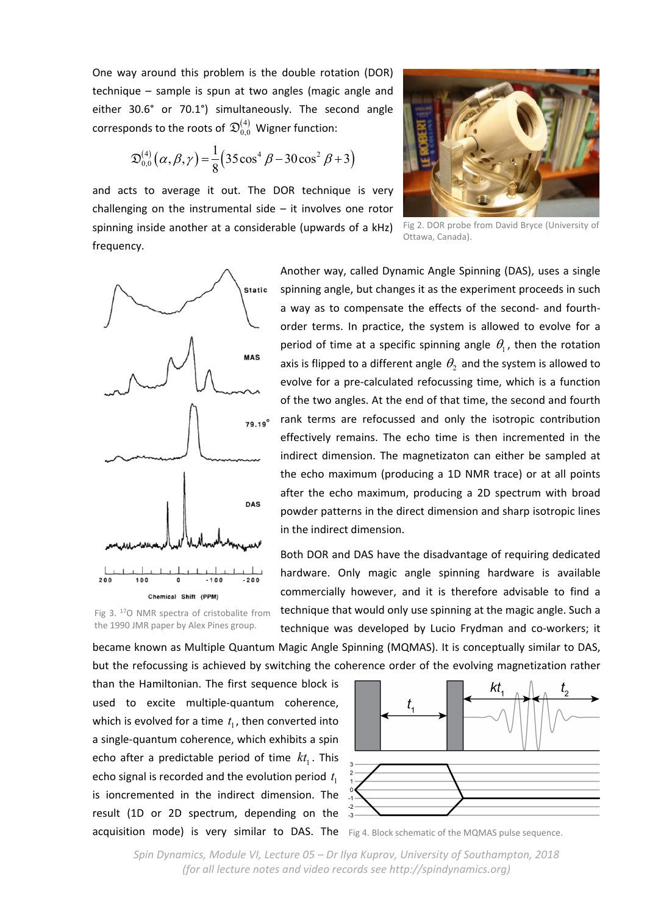One way around this problem is the double rotation (DOR) technique – sample is spun at two angles (magic angle and either 30.6° or 70.1°) simultaneously. The second angle corresponds to the roots of  $\mathfrak{D}_{0,0}^{(4)}$  Wigner function:

$$
\mathfrak{D}_{0,0}^{(4)}(\alpha,\beta,\gamma) = \frac{1}{8} (35 \cos^4 \beta - 30 \cos^2 \beta + 3)
$$

and acts to average it out. The DOR technique is very challenging on the instrumental side – it involves one rotor spinning inside another at a considerable (upwards of a kHz) frequency.



Fig 2. DOR probe from David Bryce (University of Ottawa, Canada).



Fig 3. 17O NMR spectra of cristobalite from the 1990 JMR paper by Alex Pines group.

Another way, called Dynamic Angle Spinning (DAS), uses a single spinning angle, but changes it as the experiment proceeds in such a way as to compensate the effects of the second‐ and fourth‐ order terms. In practice, the system is allowed to evolve for a period of time at a specific spinning angle  $\theta_1$ , then the rotation axis is flipped to a different angle  $\theta_2$  and the system is allowed to evolve for a pre‐calculated refocussing time, which is a function of the two angles. At the end of that time, the second and fourth rank terms are refocussed and only the isotropic contribution effectively remains. The echo time is then incremented in the indirect dimension. The magnetizaton can either be sampled at the echo maximum (producing a 1D NMR trace) or at all points after the echo maximum, producing a 2D spectrum with broad powder patterns in the direct dimension and sharp isotropic lines in the indirect dimension.

Both DOR and DAS have the disadvantage of requiring dedicated hardware. Only magic angle spinning hardware is available commercially however, and it is therefore advisable to find a technique that would only use spinning at the magic angle. Such a technique was developed by Lucio Frydman and co-workers; it

became known as Multiple Quantum Magic Angle Spinning (MQMAS). It is conceptually similar to DAS, but the refocussing is achieved by switching the coherence order of the evolving magnetization rather

than the Hamiltonian. The first sequence block is used to excite multiple‐quantum coherence, which is evolved for a time  $t_1$ , then converted into a single‐quantum coherence, which exhibits a spin echo after a predictable period of time  $kt_1$ . This echo signal is recorded and the evolution period  $t_1$ is ioncremented in the indirect dimension. The result (1D or 2D spectrum, depending on the acquisition mode) is very similar to DAS. The Fig 4. Block schematic of the MQMAS pulse sequence.



*Spin Dynamics, Module VI, Lecture 05 – Dr Ilya Kuprov, University of Southampton, 2018 (for all lecture notes and video records see http://spindynamics.org)*